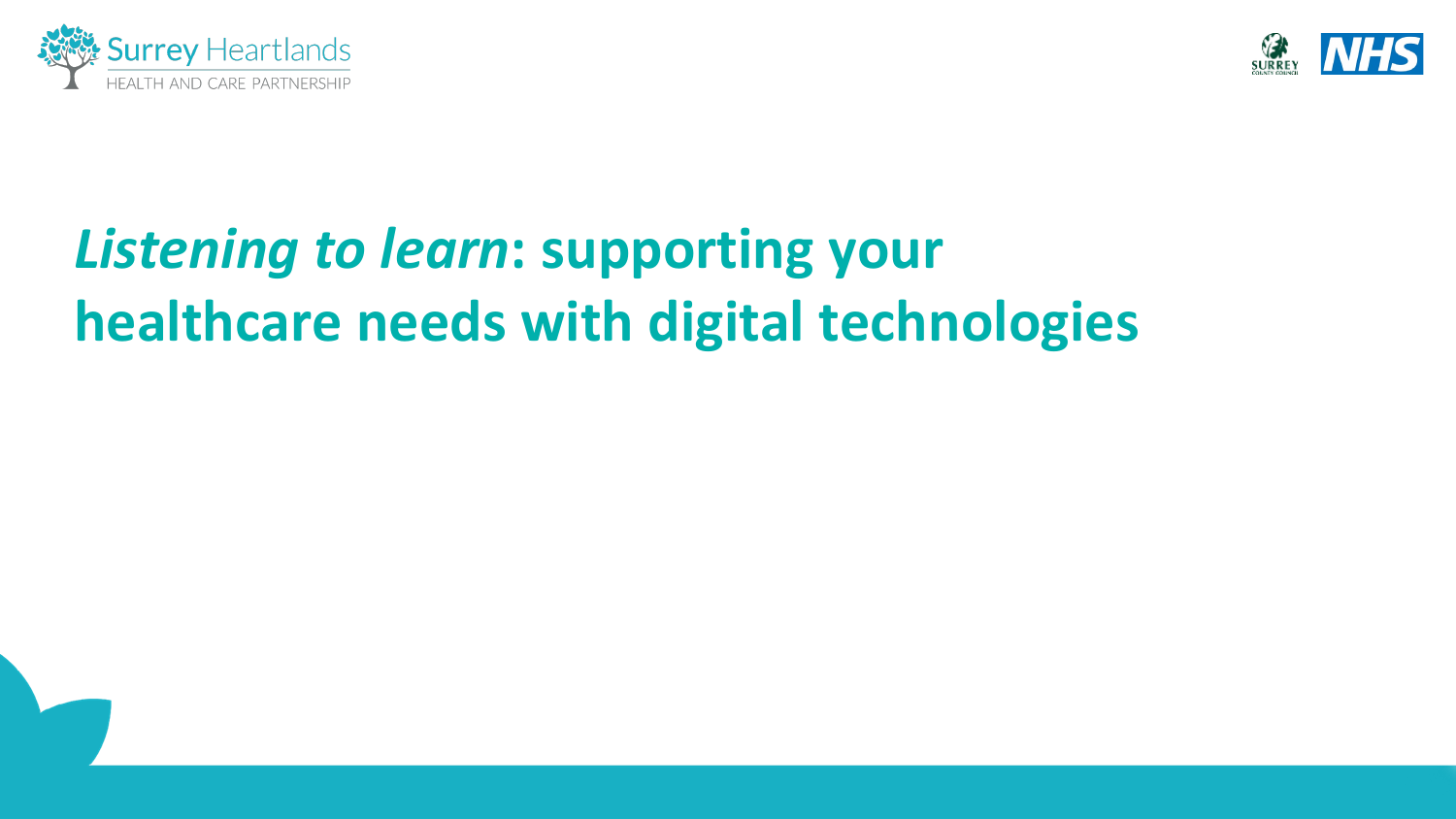



# *Listening to learn***: supporting your healthcare needs with digital technologies**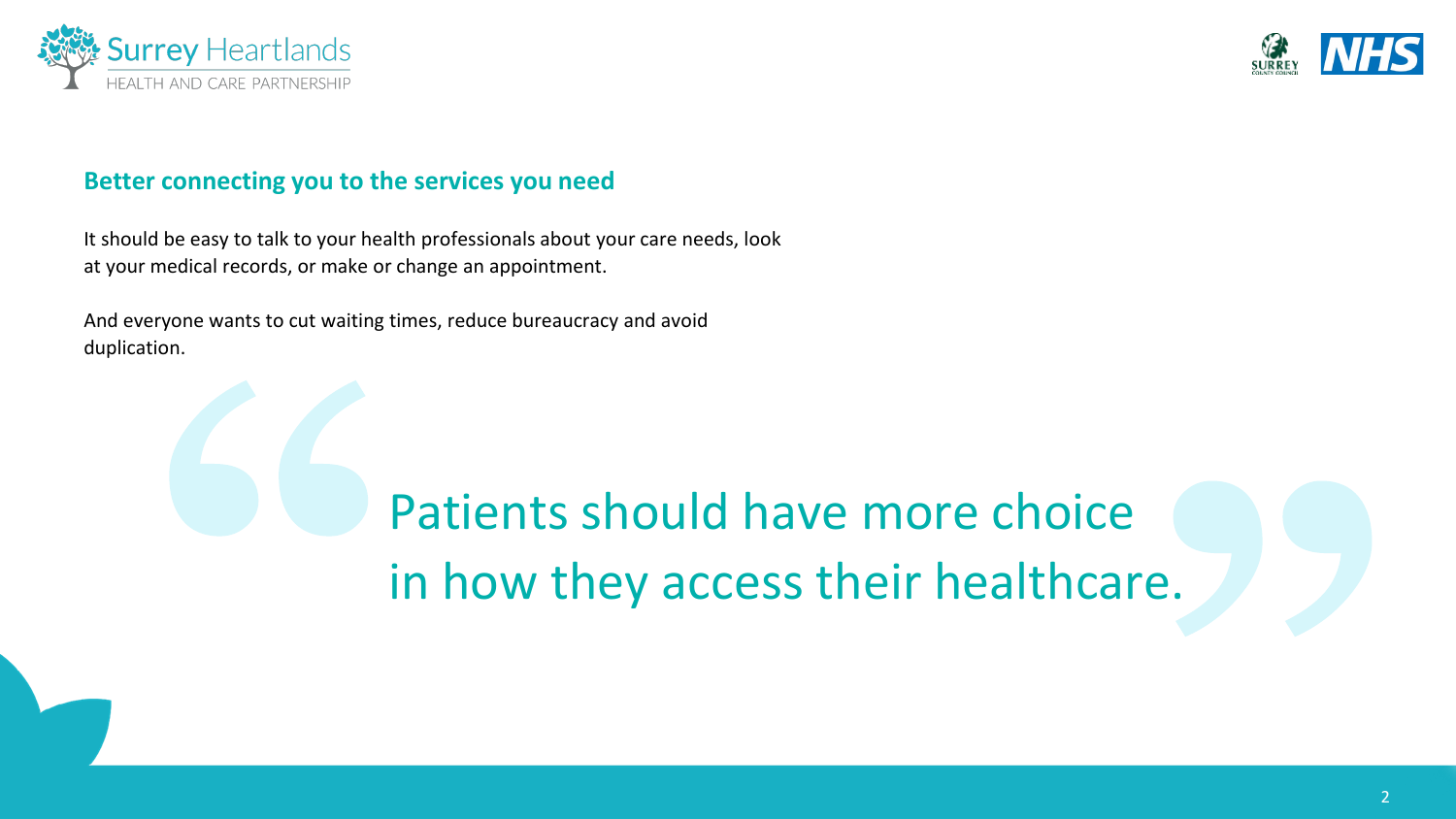



#### **Better connecting you to the services you need**

It should be easy to talk to your health professionals about your care needs, look at your medical records, or make or change an appointment.

And everyone wants to cut waiting times, reduce bureaucracy and avoid duplication.

# Patients should have more choice in how they access their healthcare.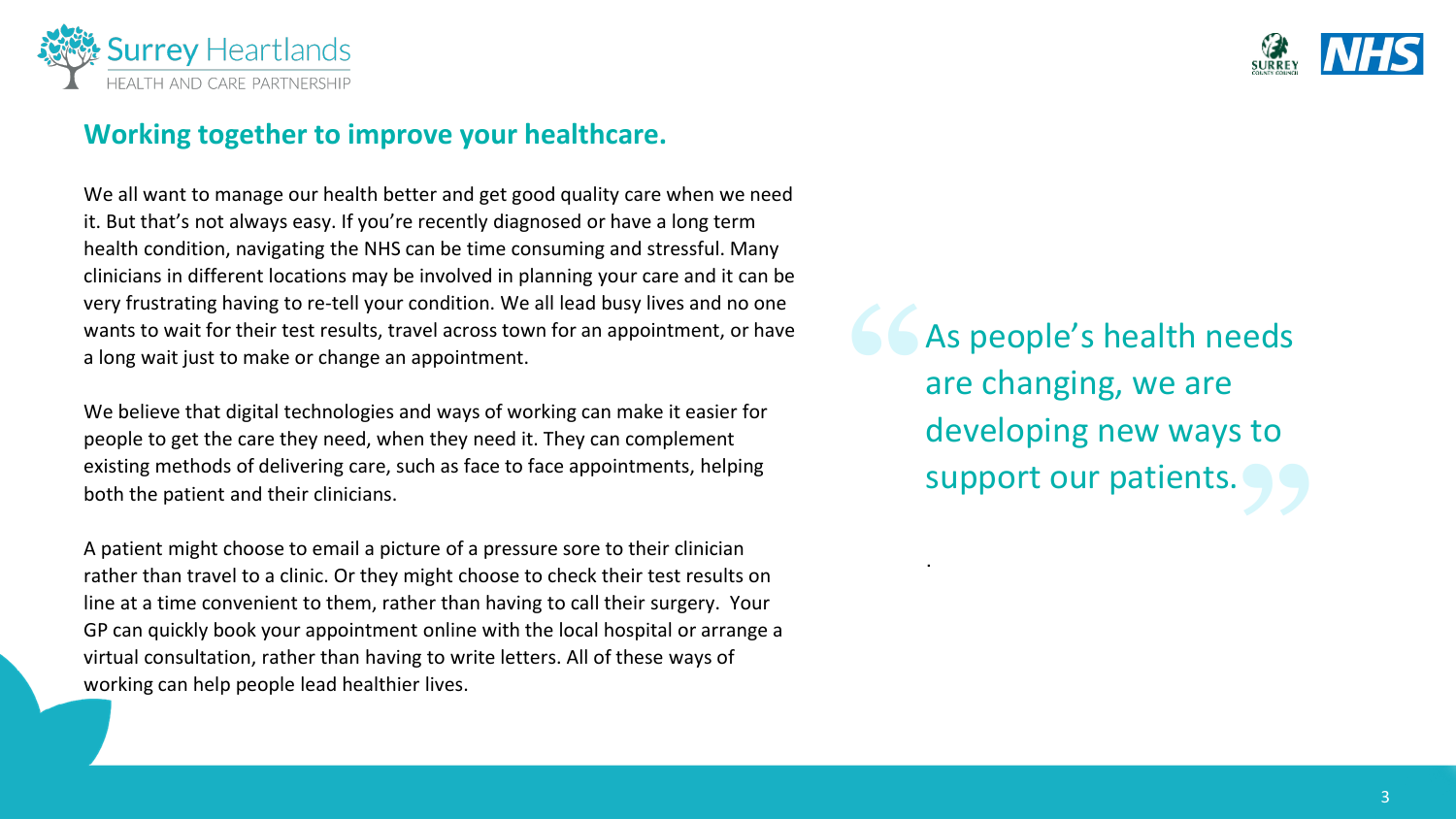

### **Working together to improve your healthcare.**

We all want to manage our health better and get good quality care when we need it. But that's not always easy. If you're recently diagnosed or have a long term health condition, navigating the NHS can be time consuming and stressful. Many clinicians in different locations may be involved in planning your care and it can be very frustrating having to re-tell your condition. We all lead busy lives and no one wants to wait for their test results, travel across town for an appointment, or have a long wait just to make or change an appointment.

We believe that digital technologies and ways of working can make it easier for people to get the care they need, when they need it. They can complement existing methods of delivering care, such as face to face appointments, helping both the patient and their clinicians.

A patient might choose to email a picture of a pressure sore to their clinician rather than travel to a clinic. Or they might choose to check their test results on line at a time convenient to them, rather than having to call their surgery. Your GP can quickly book your appointment online with the local hospital or arrange a virtual consultation, rather than having to write letters. All of these ways of working can help people lead healthier lives.

As people's health needs are changing, we are developing new ways to support our patients.

.

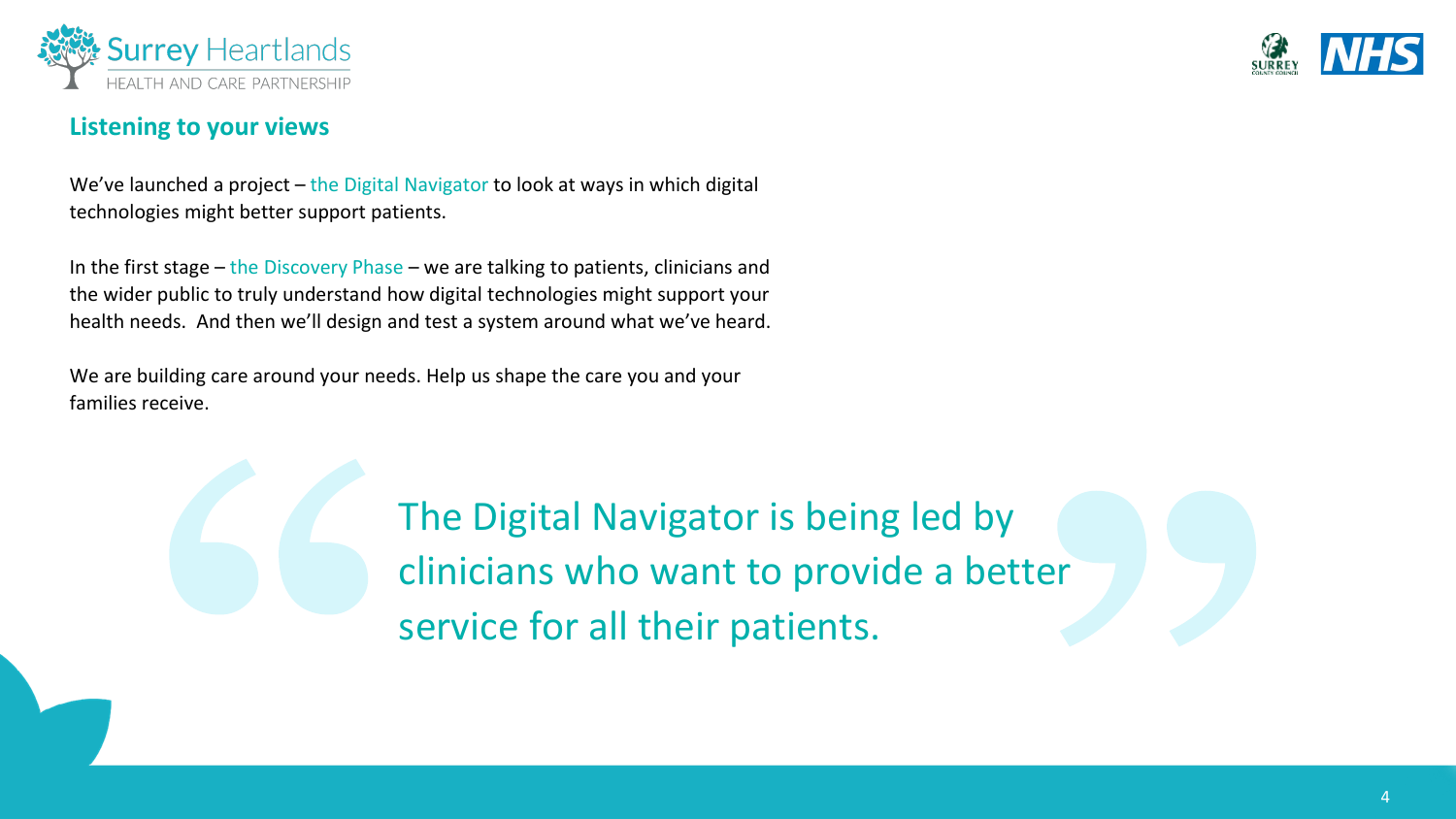

#### **Listening to your views**

We've launched a project – the Digital Navigator to look at ways in which digital technologies might better support patients.

In the first stage – the Discovery Phase – we are talking to patients, clinicians and the wider public to truly understand how digital technologies might support your health needs. And then we'll design and test a system around what we've heard.

We are building care around your needs. Help us shape the care you and your families receive.

> The Digital Navigator is being led by clinicians who want to provide a better service for all their patients.

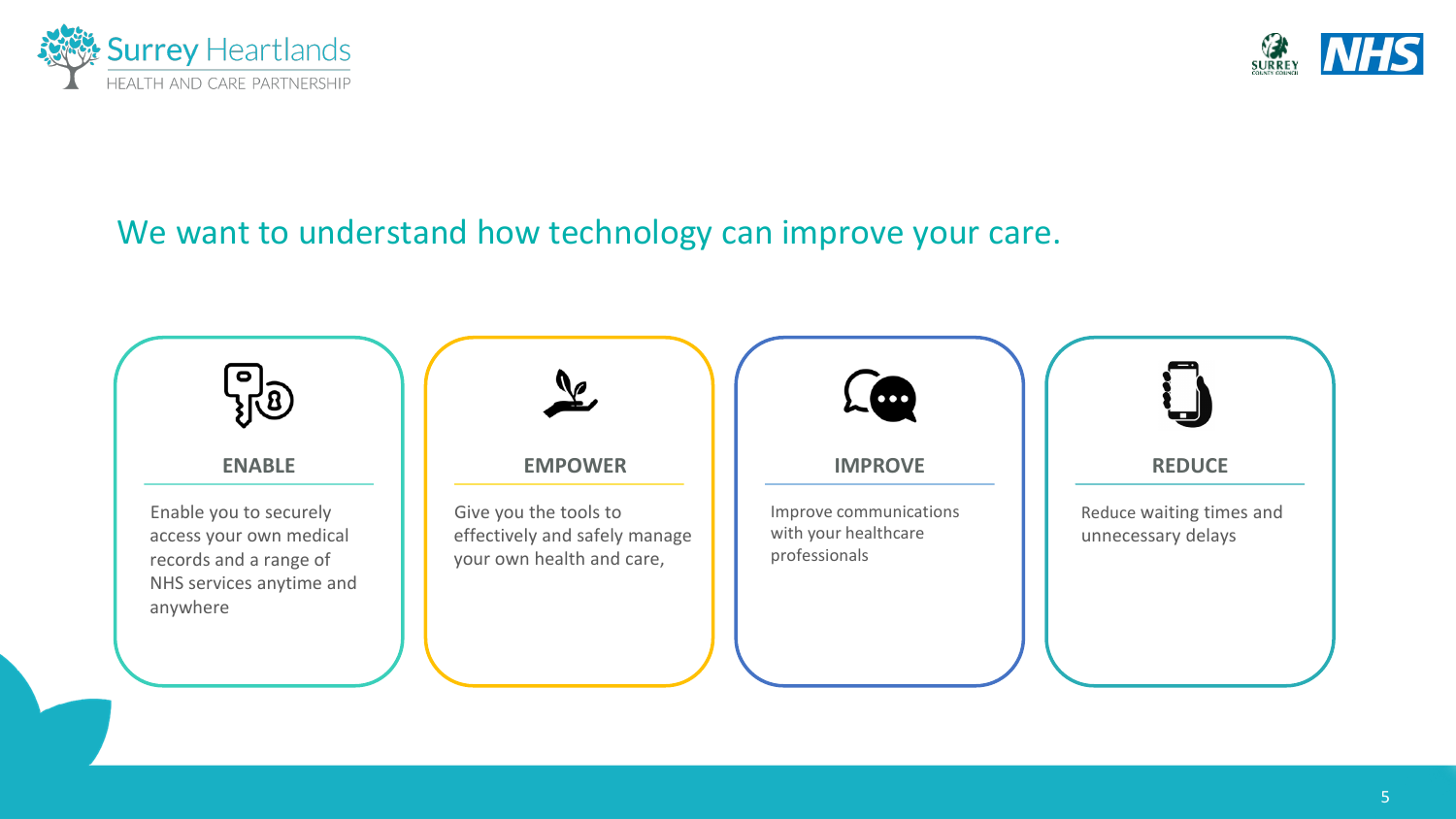



## We want to understand how technology can improve your care.

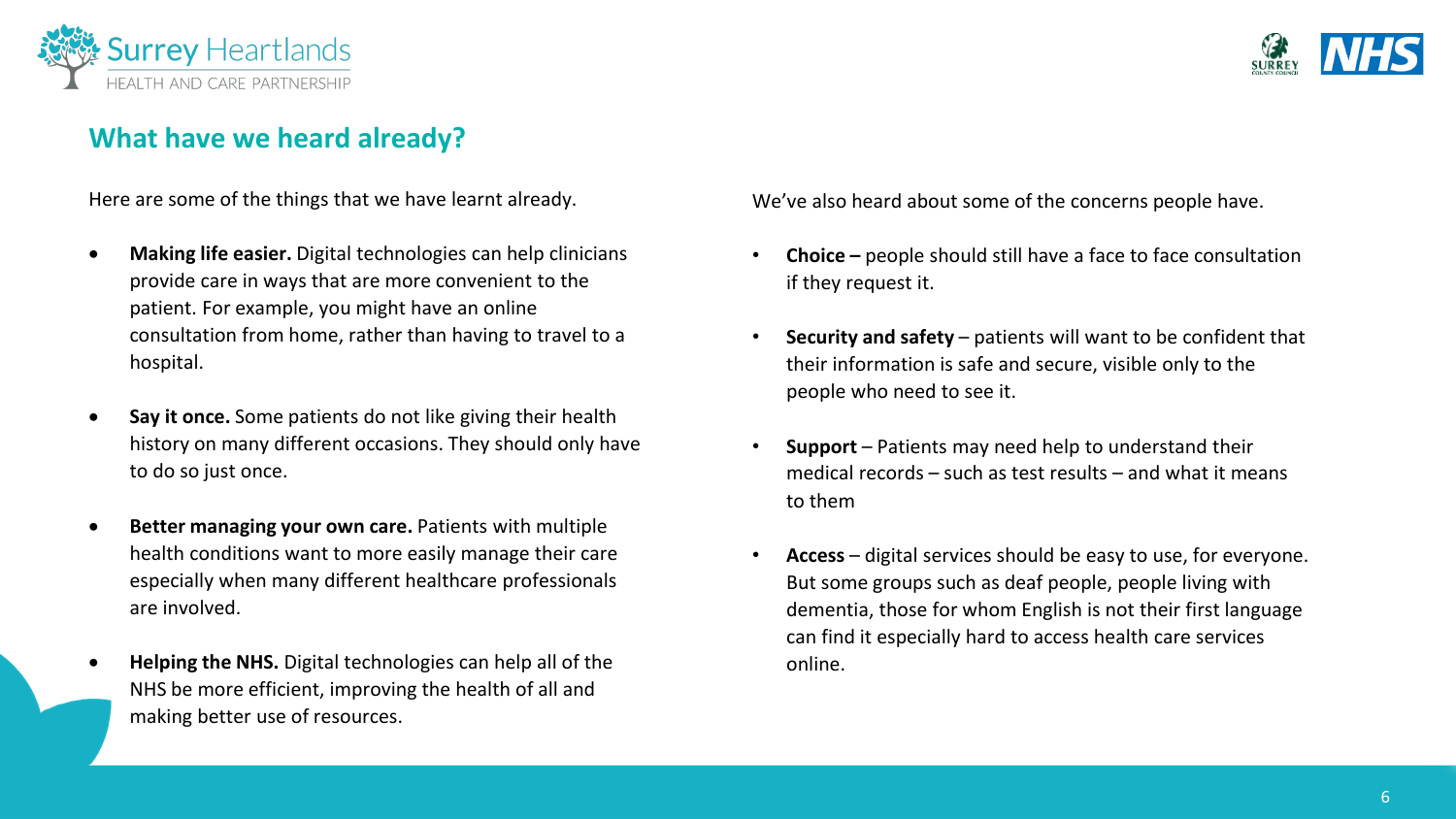

### **What have we heard already?**

Here are some of the things that we have learnt already.

- **Making life easier.** Digital technologies can help clinicians provide care in ways that are more convenient to the patient. For example, you might have an online consultation from home, rather than having to travel to a hospital.
- **Say it once.** Some patients do not like giving their health history on many different occasions. They should only have to do so just once.
- **Better managing your own care.** Patients with multiple health conditions want to more easily manage their care especially when many different healthcare professionals are involved.
- **Helping the NHS.** Digital technologies can help all of the NHS be more efficient, improving the health of all and making better use of resources.

We've also heard about some of the concerns people have.

- **Choice –** people should still have a face to face consultation if they request it.
- **Security and safety** patients will want to be confident that their information is safe and secure, visible only to the people who need to see it.
- **Support** Patients may need help to understand their medical records – such as test results – and what it means to them
- **Access** digital services should be easy to use, for everyone. But some groups such as deaf people, people living with dementia, those for whom English is not their first language can find it especially hard to access health care services online.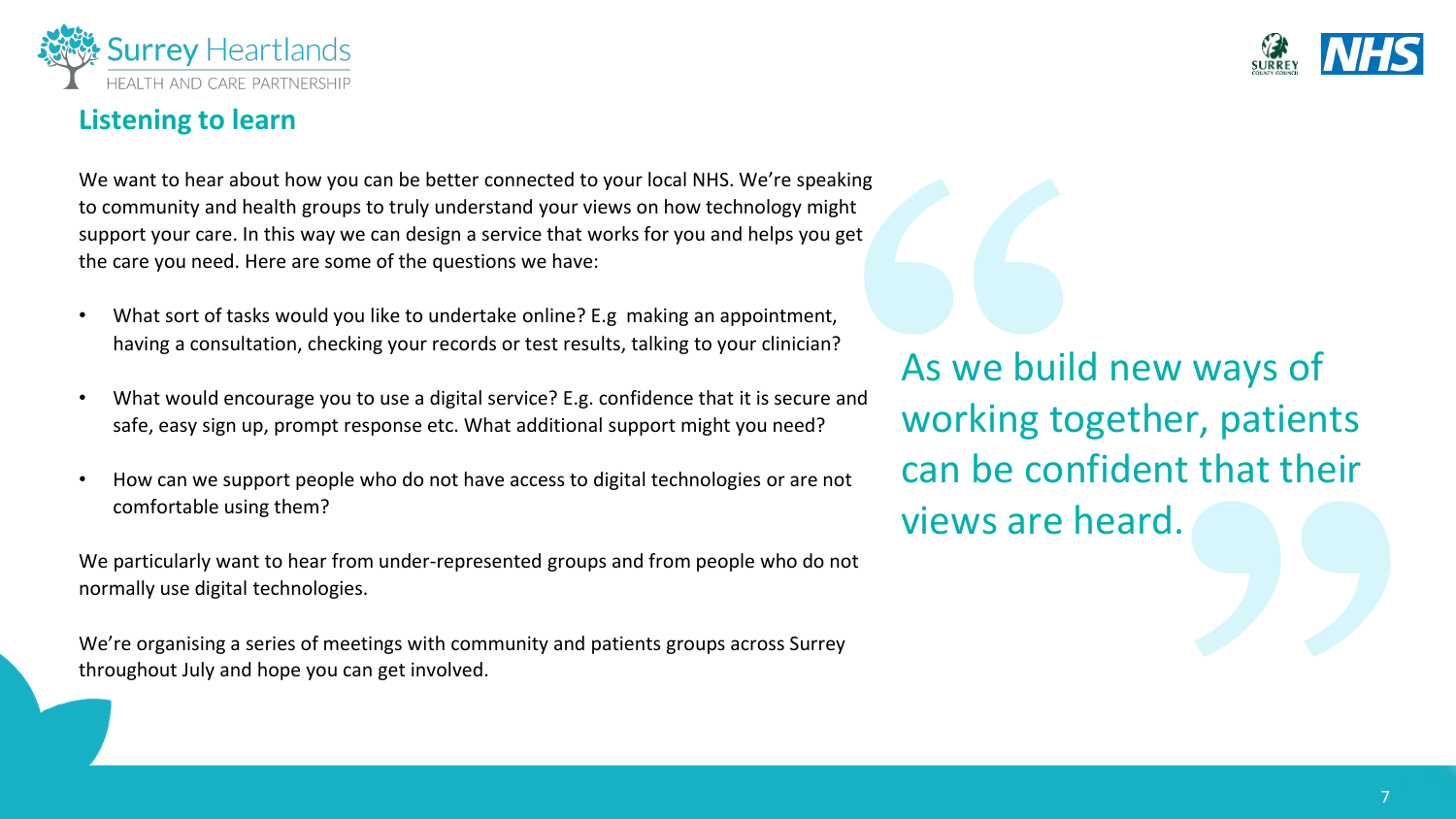



## **Listening to learn**

We want to hear about how you can be better connected to your local NHS. We're speaking to community and health groups to truly understand your views on how technology might support your care. In this way we can design a service that works for you and helps you get the care you need. Here are some of the questions we have:

- What sort of tasks would you like to undertake online? E.g making an appointment, having a consultation, checking your records or test results, talking to your clinician?
- What would encourage you to use a digital service? E.g. confidence that it is secure and safe, easy sign up, prompt response etc. What additional support might you need?
- How can we support people who do not have access to digital technologies or are not comfortable using them?

We particularly want to hear from under-represented groups and from people who do not normally use digital technologies.

We're organising a series of meetings with community and patients groups across Surrey throughout July and hope you can get involved.

As we build new ways of working together, patients can be confident that their views are heard.